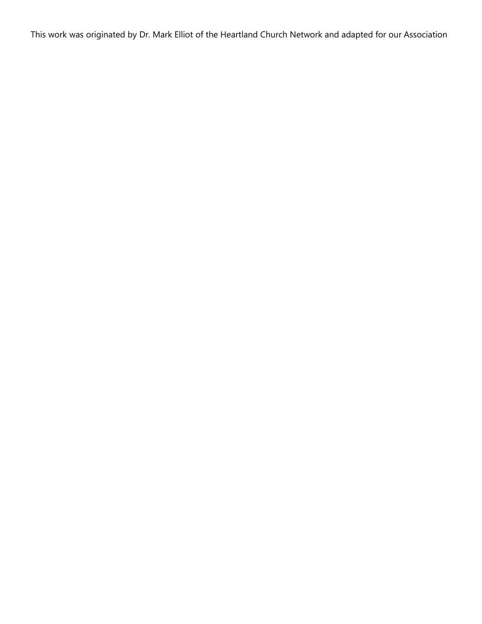This work was originated by Dr. Mark Elliot of the Heartland Church Network and adapted for our Association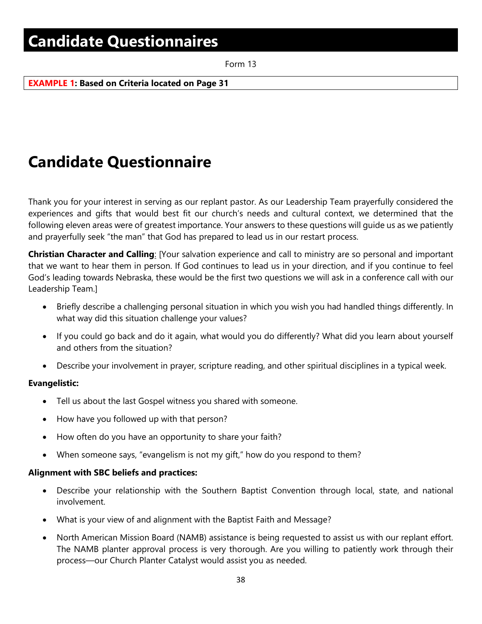Form 13

**EXAMPLE 1: Based on Criteria located on Page 31**

# **NorthCoast Baptist Association**

**\_\_\_\_\_\_\_\_\_\_\_\_\_\_\_\_\_\_\_\_\_\_\_\_\_\_\_\_\_\_\_\_\_\_\_**

### **Candidate Questionnaire**

Thank you for your interest in serving as our replant pastor. As our Leadership Team prayerfully considered the experiences and gifts that would best fit our church's needs and cultural context, we determined that the following eleven areas were of greatest importance. Your answers to these questions will guide us as we patiently and prayerfully seek "the man" that God has prepared to lead us in our restart process.

**Christian Character and Calling**: [Your salvation experience and call to ministry are so personal and important that we want to hear them in person. If God continues to lead us in your direction, and if you continue to feel God's leading towards Nebraska, these would be the first two questions we will ask in a conference call with our Leadership Team.]

- Briefly describe a challenging personal situation in which you wish you had handled things differently. In what way did this situation challenge your values?
- If you could go back and do it again, what would you do differently? What did you learn about yourself and others from the situation?
- Describe your involvement in prayer, scripture reading, and other spiritual disciplines in a typical week.

### **Evangelistic:**

- Tell us about the last Gospel witness you shared with someone.
- How have you followed up with that person?
- How often do you have an opportunity to share your faith?
- When someone says, "evangelism is not my gift," how do you respond to them?

#### **Alignment with SBC beliefs and practices:**

- Describe your relationship with the Southern Baptist Convention through local, state, and national involvement.
- What is your view of and alignment with the Baptist Faith and Message?
- North American Mission Board (NAMB) assistance is being requested to assist us with our replant effort. The NAMB planter approval process is very thorough. Are you willing to patiently work through their process—our Church Planter Catalyst would assist you as needed.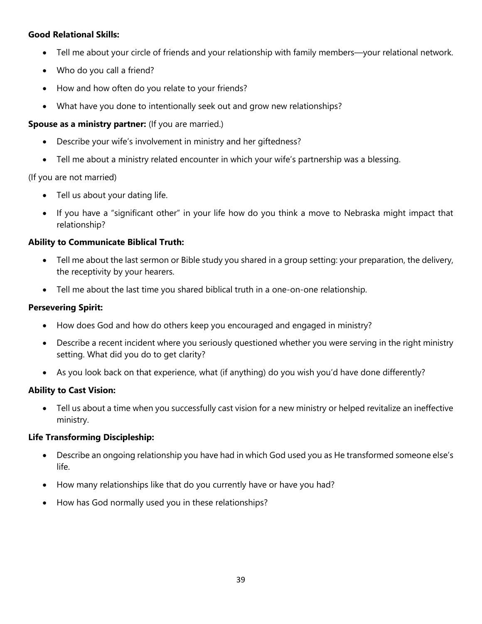### **Good Relational Skills:**

- Tell me about your circle of friends and your relationship with family members—your relational network.
- Who do you call a friend?
- How and how often do you relate to your friends?
- What have you done to intentionally seek out and grow new relationships?

### **Spouse as a ministry partner:** (If you are married.)

- Describe your wife's involvement in ministry and her giftedness?
- Tell me about a ministry related encounter in which your wife's partnership was a blessing.

### (If you are not married)

- Tell us about your dating life.
- If you have a "significant other" in your life how do you think a move to Nebraska might impact that relationship?

### **Ability to Communicate Biblical Truth:**

- Tell me about the last sermon or Bible study you shared in a group setting: your preparation, the delivery, the receptivity by your hearers.
- Tell me about the last time you shared biblical truth in a one-on-one relationship.

### **Persevering Spirit:**

- How does God and how do others keep you encouraged and engaged in ministry?
- Describe a recent incident where you seriously questioned whether you were serving in the right ministry setting. What did you do to get clarity?
- As you look back on that experience, what (if anything) do you wish you'd have done differently?

### **Ability to Cast Vision:**

• Tell us about a time when you successfully cast vision for a new ministry or helped revitalize an ineffective ministry.

### **Life Transforming Discipleship:**

- Describe an ongoing relationship you have had in which God used you as He transformed someone else's life.
- How many relationships like that do you currently have or have you had?
- How has God normally used you in these relationships?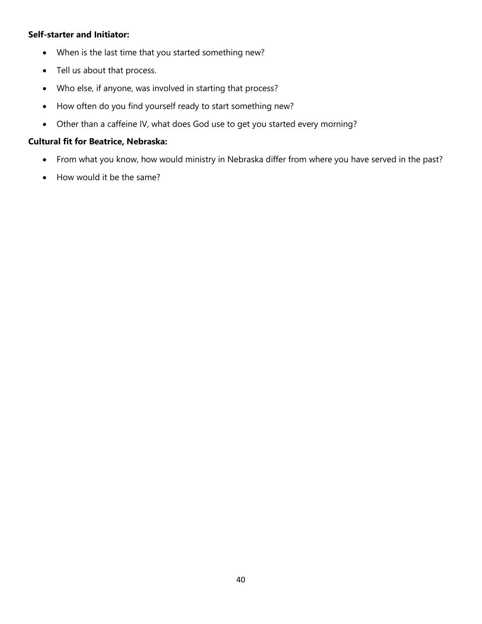### **Self-starter and Initiator:**

- When is the last time that you started something new?
- Tell us about that process.
- Who else, if anyone, was involved in starting that process?
- How often do you find yourself ready to start something new?
- Other than a caffeine IV, what does God use to get you started every morning?

### **Cultural fit for Beatrice, Nebraska:**

- From what you know, how would ministry in Nebraska differ from where you have served in the past?
- How would it be the same?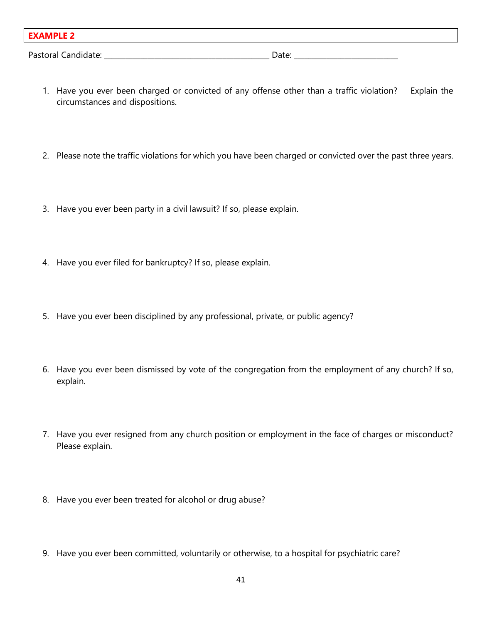| <b>EXAMPLE 2</b>    |       |
|---------------------|-------|
| Pastoral Candidate: | Date: |

- 1. Have you ever been charged or convicted of any offense other than a traffic violation? Explain the circumstances and dispositions.
- 2. Please note the traffic violations for which you have been charged or convicted over the past three years.
- 3. Have you ever been party in a civil lawsuit? If so, please explain.
- 4. Have you ever filed for bankruptcy? If so, please explain.
- 5. Have you ever been disciplined by any professional, private, or public agency?
- 6. Have you ever been dismissed by vote of the congregation from the employment of any church? If so, explain.
- 7. Have you ever resigned from any church position or employment in the face of charges or misconduct? Please explain.
- 8. Have you ever been treated for alcohol or drug abuse?
- 9. Have you ever been committed, voluntarily or otherwise, to a hospital for psychiatric care?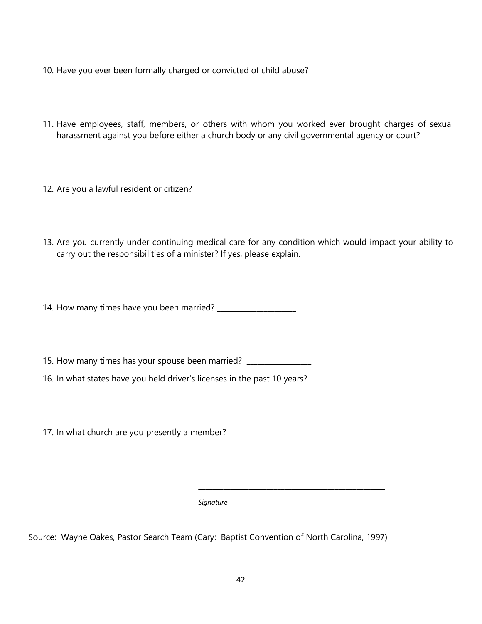- 10. Have you ever been formally charged or convicted of child abuse?
- 11. Have employees, staff, members, or others with whom you worked ever brought charges of sexual harassment against you before either a church body or any civil governmental agency or court?
- 12. Are you a lawful resident or citizen?
- 13. Are you currently under continuing medical care for any condition which would impact your ability to carry out the responsibilities of a minister? If yes, please explain.
- 14. How many times have you been married? \_\_\_\_\_\_\_\_\_\_\_\_\_\_\_\_\_\_\_\_\_\_
- 15. How many times has your spouse been married? \_\_\_\_\_\_\_\_\_\_\_\_\_
- 16. In what states have you held driver's licenses in the past 10 years?
- 17. In what church are you presently a member?

*Signature*

Source: Wayne Oakes, Pastor Search Team (Cary: Baptist Convention of North Carolina, 1997)

\_\_\_\_\_\_\_\_\_\_\_\_\_\_\_\_\_\_\_\_\_\_\_\_\_\_\_\_\_\_\_\_\_\_\_\_\_\_\_\_\_\_\_\_\_\_\_\_\_\_\_\_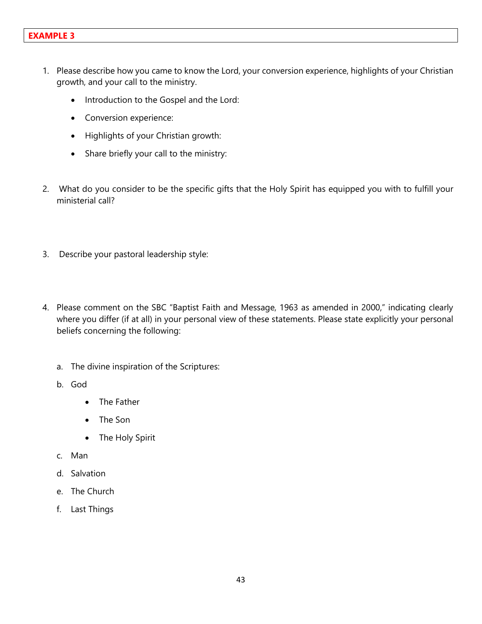- 1. Please describe how you came to know the Lord, your conversion experience, highlights of your Christian growth, and your call to the ministry.
	- Introduction to the Gospel and the Lord:
	- Conversion experience:
	- Highlights of your Christian growth:
	- Share briefly your call to the ministry:
- 2. What do you consider to be the specific gifts that the Holy Spirit has equipped you with to fulfill your ministerial call?
- 3. Describe your pastoral leadership style:
- 4. Please comment on the SBC "Baptist Faith and Message, 1963 as amended in 2000," indicating clearly where you differ (if at all) in your personal view of these statements. Please state explicitly your personal beliefs concerning the following:
	- a. The divine inspiration of the Scriptures:
	- b. God
		- The Father
		- The Son
		- The Holy Spirit
	- c. Man
	- d. Salvation
	- e. The Church
	- f. Last Things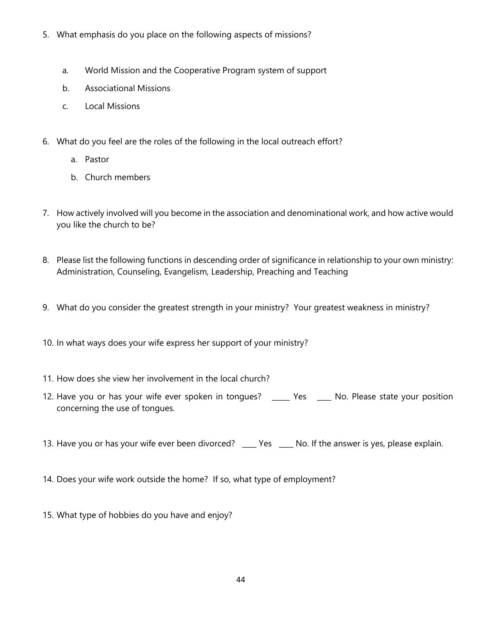- 5. What emphasis do you place on the following aspects of missions?
	- a. World Mission and the Cooperative Program system of support
	- b. Associational Missions
	- c. Local Missions
- 6. What do you feel are the roles of the following in the local outreach effort?
	- a. Pastor
	- b. Church members
- 7. How actively involved will you become in the association and denominational work, and how active would you like the church to be?
- 8. Please list the following functions in descending order of significance in relationship to your own ministry: Administration, Counseling, Evangelism, Leadership, Preaching and Teaching
- 9. What do you consider the greatest strength in your ministry? Your greatest weakness in ministry?
- 10. In what ways does your wife express her support of your ministry?
- 11. How does she view her involvement in the local church?
- 12. Have you or has your wife ever spoken in tongues? \_\_\_\_\_ Yes \_\_\_\_\_ No. Please state your position concerning the use of tongues.
- 13. Have you or has your wife ever been divorced? \_\_\_\_ Yes \_\_\_\_ No. If the answer is yes, please explain.
- 14. Does your wife work outside the home? If so, what type of employment?
- 15. What type of hobbies do you have and enjoy?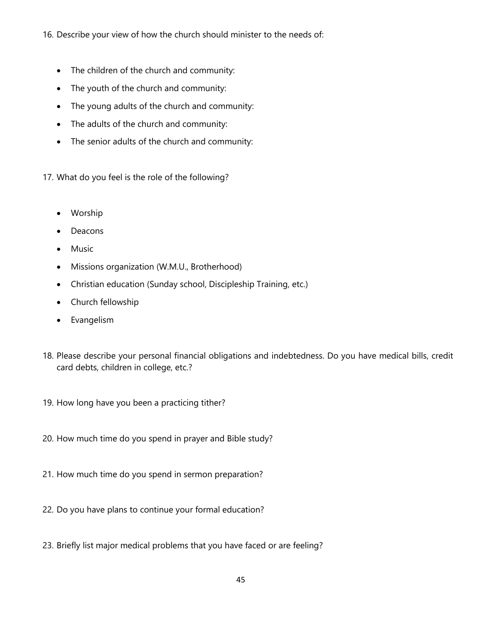16. Describe your view of how the church should minister to the needs of:

- The children of the church and community:
- The youth of the church and community:
- The young adults of the church and community:
- The adults of the church and community:
- The senior adults of the church and community:
- 17. What do you feel is the role of the following?
	- Worship
	- Deacons
	- Music
	- Missions organization (W.M.U., Brotherhood)
	- Christian education (Sunday school, Discipleship Training, etc.)
	- Church fellowship
	- Evangelism
- 18. Please describe your personal financial obligations and indebtedness. Do you have medical bills, credit card debts, children in college, etc.?
- 19. How long have you been a practicing tither?
- 20. How much time do you spend in prayer and Bible study?
- 21. How much time do you spend in sermon preparation?
- 22. Do you have plans to continue your formal education?
- 23. Briefly list major medical problems that you have faced or are feeling?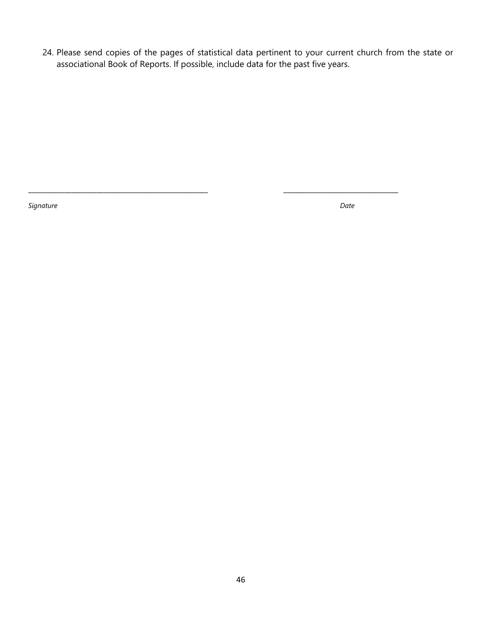24. Please send copies of the pages of statistical data pertinent to your current church from the state or associational Book of Reports. If possible, include data for the past five years.

\_\_\_\_\_\_\_\_\_\_\_\_\_\_\_\_\_\_\_\_\_\_\_\_\_\_\_\_\_\_\_\_\_\_\_\_\_\_\_\_\_\_\_\_\_\_\_\_\_\_ \_\_\_\_\_\_\_\_\_\_\_\_\_\_\_\_\_\_\_\_\_\_\_\_\_\_\_\_\_\_\_\_

*Signature Date*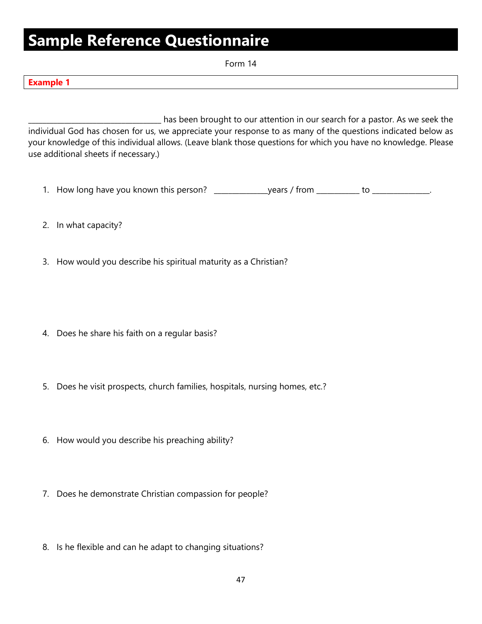# **Sample Reference Questionnaire**

Form 14

| ×<br>. . |  |  |
|----------|--|--|

\_\_\_\_\_\_\_\_\_\_\_\_\_\_\_\_\_\_\_\_\_\_\_\_\_\_\_\_\_\_\_\_\_\_\_\_\_ has been brought to our attention in our search for a pastor. As we seek the individual God has chosen for us, we appreciate your response to as many of the questions indicated below as your knowledge of this individual allows. (Leave blank those questions for which you have no knowledge. Please use additional sheets if necessary.)

- 1. How long have you known this person? \_\_\_\_\_\_\_\_\_\_\_\_\_\_\_years / from \_\_\_\_\_\_\_\_\_\_\_ to \_\_\_\_\_\_\_\_\_\_\_\_\_\_\_.
- 2. In what capacity?
- 3. How would you describe his spiritual maturity as a Christian?
- 4. Does he share his faith on a regular basis?
- 5. Does he visit prospects, church families, hospitals, nursing homes, etc.?
- 6. How would you describe his preaching ability?
- 7. Does he demonstrate Christian compassion for people?
- 8. Is he flexible and can he adapt to changing situations?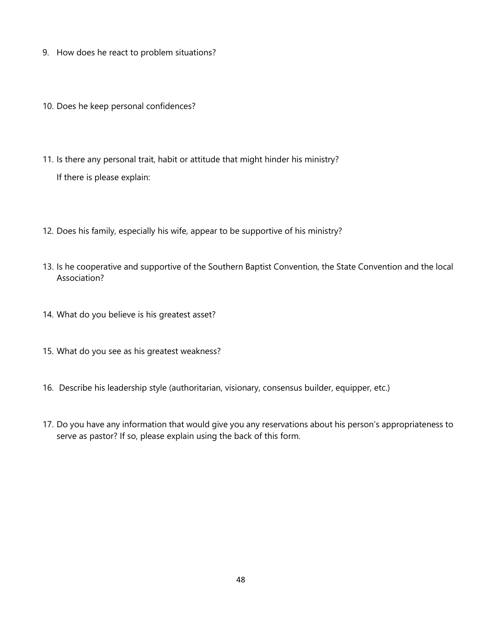- 9. How does he react to problem situations?
- 10. Does he keep personal confidences?
- 11. Is there any personal trait, habit or attitude that might hinder his ministry? If there is please explain:
- 12. Does his family, especially his wife, appear to be supportive of his ministry?
- 13. Is he cooperative and supportive of the Southern Baptist Convention, the State Convention and the local Association?
- 14. What do you believe is his greatest asset?
- 15. What do you see as his greatest weakness?
- 16. Describe his leadership style (authoritarian, visionary, consensus builder, equipper, etc.)
- 17. Do you have any information that would give you any reservations about his person's appropriateness to serve as pastor? If so, please explain using the back of this form.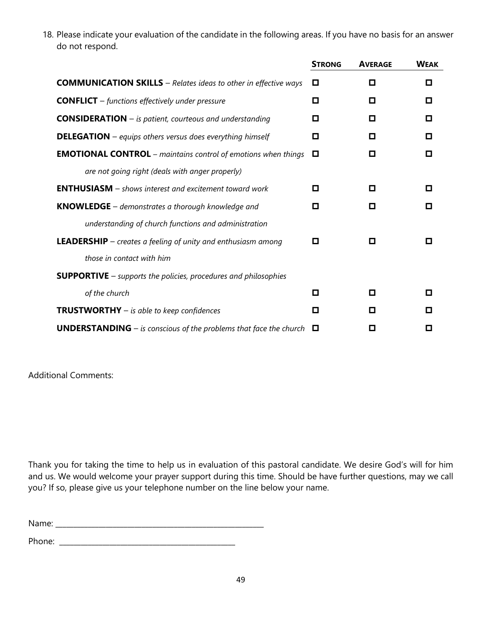18. Please indicate your evaluation of the candidate in the following areas. If you have no basis for an answer do not respond.

|                                                                                 | <b>STRONG</b> | <b>AVERAGE</b> | <b>WEAK</b> |
|---------------------------------------------------------------------------------|---------------|----------------|-------------|
| <b>COMMUNICATION SKILLS</b> - Relates ideas to other in effective ways          | o             | О              | о           |
| <b>CONFLICT</b> $-$ functions effectively under pressure                        | о             | п              | п           |
| <b>CONSIDERATION</b> $-$ is patient, courteous and understanding                | □             | о              | о           |
| <b>DELEGATION</b> – equips others versus does everything himself                | о             | о              | О           |
| <b>EMOTIONAL CONTROL</b> – maintains control of emotions when things            | o             | О              | П           |
| are not going right (deals with anger properly)                                 |               |                |             |
| <b>ENTHUSIASM</b> – shows interest and excitement toward work                   | o             | о              | о           |
| <b>KNOWLEDGE</b> $-$ demonstrates a thorough knowledge and                      | О             | о              | О           |
| understanding of church functions and administration                            |               |                |             |
| <b>LEADERSHIP</b> $-$ creates a feeling of unity and enthusiasm among           | o             | о              | О           |
| those in contact with him                                                       |               |                |             |
| <b>SUPPORTIVE</b> $-$ supports the policies, procedures and philosophies        |               |                |             |
| of the church                                                                   | о             | о              | П           |
| <b>TRUSTWORTHY</b> $-$ is able to keep confidences                              | О             | о              | О           |
| <b>UNDERSTANDING</b> – is conscious of the problems that face the church $\Box$ |               | О              | О           |

Additional Comments:

Thank you for taking the time to help us in evaluation of this pastoral candidate. We desire God's will for him and us. We would welcome your prayer support during this time. Should be have further questions, may we call you? If so, please give us your telephone number on the line below your name.

Name: \_\_\_\_\_\_\_\_\_\_\_\_\_\_\_\_\_\_\_\_\_\_\_\_\_\_\_\_\_\_\_\_\_\_\_\_\_\_\_\_\_\_\_\_\_\_\_\_\_\_\_\_\_\_\_\_\_\_

Phone: \_\_\_\_\_\_\_\_\_\_\_\_\_\_\_\_\_\_\_\_\_\_\_\_\_\_\_\_\_\_\_\_\_\_\_\_\_\_\_\_\_\_\_\_\_\_\_\_\_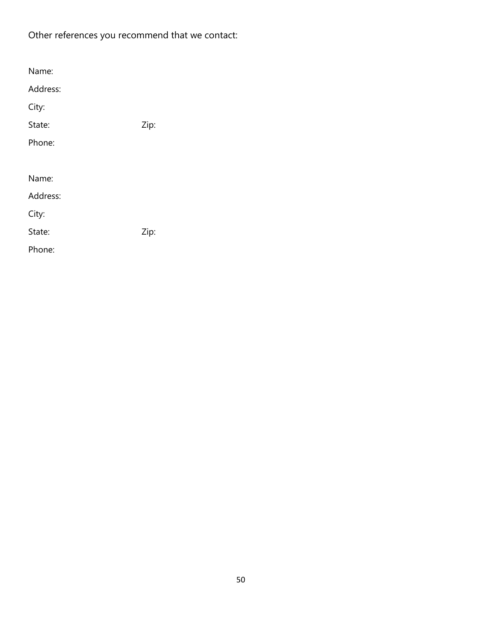### Other references you recommend that we contact:

| Name:    |      |
|----------|------|
| Address: |      |
| City:    |      |
| State:   | Zip: |
| Phone:   |      |
|          |      |
| Name:    |      |
| Address: |      |
| City:    |      |
| State:   | Zip: |
| Phone:   |      |
|          |      |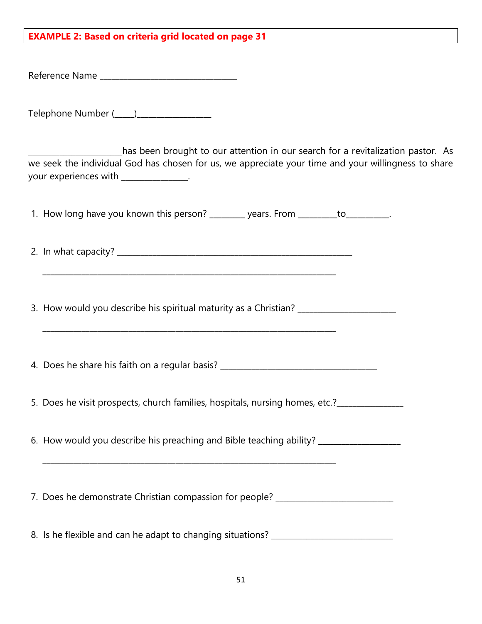### **EXAMPLE 2: Based on criteria grid located on page 31**

Reference Name \_\_\_\_\_\_\_\_\_\_\_\_\_\_\_\_\_\_\_\_\_\_\_\_\_\_\_\_\_\_\_\_\_\_\_

Telephone Number ( \_\_\_\_)

\_\_\_\_\_\_\_\_\_\_\_\_\_\_\_\_\_\_\_\_\_\_\_\_has been brought to our attention in our search for a revitalization pastor. As we seek the individual God has chosen for us, we appreciate your time and your willingness to share your experiences with \_\_\_\_\_\_\_\_\_\_\_\_\_\_\_\_.

1. How long have you known this person? \_\_\_\_\_\_\_\_ years. From \_\_\_\_\_\_\_to\_\_\_\_\_\_\_\_\_.

2. In what capacity?

\_\_\_\_\_\_\_\_\_\_\_\_\_\_\_\_\_\_\_\_\_\_\_\_\_\_\_\_\_\_\_\_\_\_\_\_\_\_\_\_\_\_\_\_\_\_\_\_\_\_\_\_\_\_\_\_\_\_\_\_\_\_\_\_\_\_\_\_\_\_\_\_\_\_\_

3. How would you describe his spiritual maturity as a Christian?

\_\_\_\_\_\_\_\_\_\_\_\_\_\_\_\_\_\_\_\_\_\_\_\_\_\_\_\_\_\_\_\_\_\_\_\_\_\_\_\_\_\_\_\_\_\_\_\_\_\_\_\_\_\_\_\_\_\_\_\_\_\_\_\_\_\_\_\_\_\_\_\_\_\_\_

\_\_\_\_\_\_\_\_\_\_\_\_\_\_\_\_\_\_\_\_\_\_\_\_\_\_\_\_\_\_\_\_\_\_\_\_\_\_\_\_\_\_\_\_\_\_\_\_\_\_\_\_\_\_\_\_\_\_\_\_\_\_\_\_\_\_\_\_\_\_\_\_\_\_\_

4. Does he share his faith on a regular basis? \_\_\_\_\_\_\_\_\_\_\_\_\_\_\_\_\_\_\_\_\_\_\_\_\_\_\_\_\_\_\_\_\_

5. Does he visit prospects, church families, hospitals, nursing homes, etc.?\_\_\_\_\_\_\_\_\_\_\_

6. How would you describe his preaching and Bible teaching ability? \_\_\_\_\_\_\_\_\_\_\_\_

7. Does he demonstrate Christian compassion for people? \_\_\_\_\_\_\_\_\_\_\_\_\_\_\_\_\_\_\_\_\_\_\_\_

8. Is he flexible and can he adapt to changing situations? \_\_\_\_\_\_\_\_\_\_\_\_\_\_\_\_\_\_\_\_\_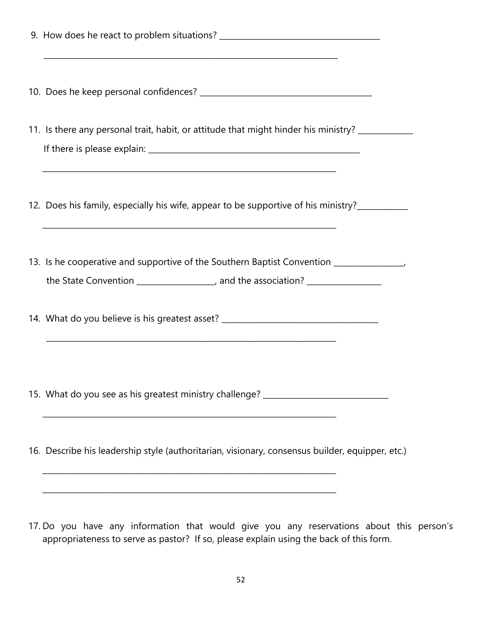| 11. Is there any personal trait, habit, or attitude that might hinder his ministry? ____________ |
|--------------------------------------------------------------------------------------------------|
| 12. Does his family, especially his wife, appear to be supportive of his ministry?               |
| 13. Is he cooperative and supportive of the Southern Baptist Convention _________                |
| 14. What do you believe is his greatest asset? _________________________________                 |
| 15. What do you see as his greatest ministry challenge? ________________________                 |
| 16. Describe his leadership style (authoritarian, visionary, consensus builder, equipper, etc.)  |
|                                                                                                  |

17. Do you have any information that would give you any reservations about this person's appropriateness to serve as pastor? If so, please explain using the back of this form.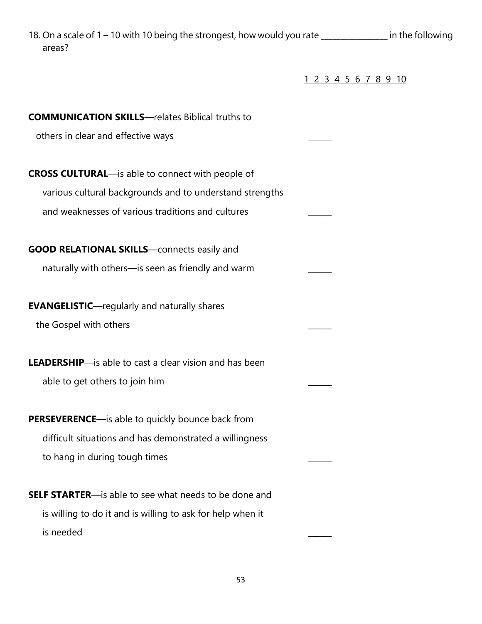18. On a scale of 1 – 10 with 10 being the strongest, how would you rate \_\_\_\_\_\_\_\_\_\_\_\_\_\_\_\_ in the following areas?

1 2 3 4 5 6 7 8 9 10

| <b>COMMUNICATION SKILLS</b> —relates Biblical truths to        |  |
|----------------------------------------------------------------|--|
| others in clear and effective ways                             |  |
|                                                                |  |
| <b>CROSS CULTURAL</b> —is able to connect with people of       |  |
| various cultural backgrounds and to understand strengths       |  |
| and weaknesses of various traditions and cultures              |  |
| <b>GOOD RELATIONAL SKILLS</b> —connects easily and             |  |
| naturally with others-is seen as friendly and warm             |  |
| <b>EVANGELISTIC-</b> regularly and naturally shares            |  |
| the Gospel with others                                         |  |
| <b>LEADERSHIP</b> —is able to cast a clear vision and has been |  |
| able to get others to join him                                 |  |
| <b>PERSEVERENCE</b> —is able to quickly bounce back from       |  |
| difficult situations and has demonstrated a willingness        |  |
| to hang in during tough times                                  |  |
| <b>SELF STARTER</b> -is able to see what needs to be done and  |  |
| is willing to do it and is willing to ask for help when it     |  |
| is needed                                                      |  |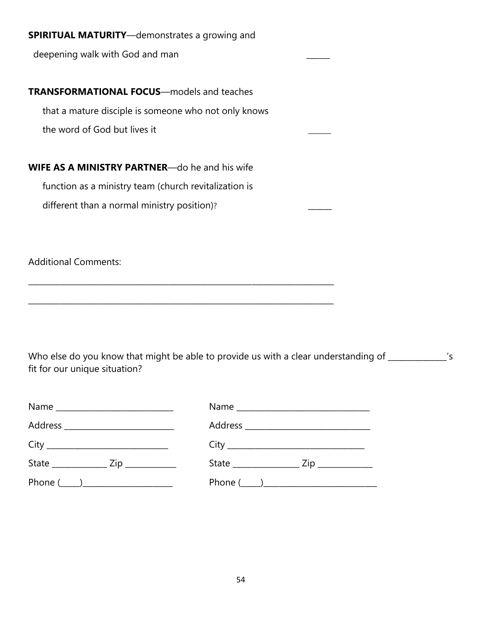| <b>SPIRITUAL MATURITY</b> —demonstrates a growing and  |  |
|--------------------------------------------------------|--|
| deepening walk with God and man                        |  |
|                                                        |  |
| <b>TRANSFORMATIONAL FOCUS</b> —models and teaches      |  |
| that a mature disciple is someone who not only knows   |  |
| the word of God but lives it                           |  |
|                                                        |  |
| <b>WIFE AS A MINISTRY PARTNER--</b> do he and his wife |  |
| function as a ministry team (church revitalization is  |  |
| different than a normal ministry position)?            |  |
|                                                        |  |
|                                                        |  |

Additional Comments:

Who else do you know that might be able to provide us with a clear understanding of \_\_\_\_\_\_\_\_\_\_\_\_\_\_'s fit for our unique situation?

\_\_\_\_\_\_\_\_\_\_\_\_\_\_\_\_\_\_\_\_\_\_\_\_\_\_\_\_\_\_\_\_\_\_\_\_\_\_\_\_\_\_\_\_\_\_\_\_\_\_\_\_\_\_\_\_\_\_\_\_\_\_\_\_\_\_\_\_\_\_\_\_\_\_\_\_\_\_

\_\_\_\_\_\_\_\_\_\_\_\_\_\_\_\_\_\_\_\_\_\_\_\_\_\_\_\_\_\_\_\_\_\_\_\_\_\_\_\_\_\_\_\_\_\_\_\_\_\_\_\_\_\_\_\_\_\_\_\_\_\_\_\_\_\_\_\_\_\_\_\_\_\_\_\_\_\_

| State _________________ Zip _____________ |  |
|-------------------------------------------|--|
|                                           |  |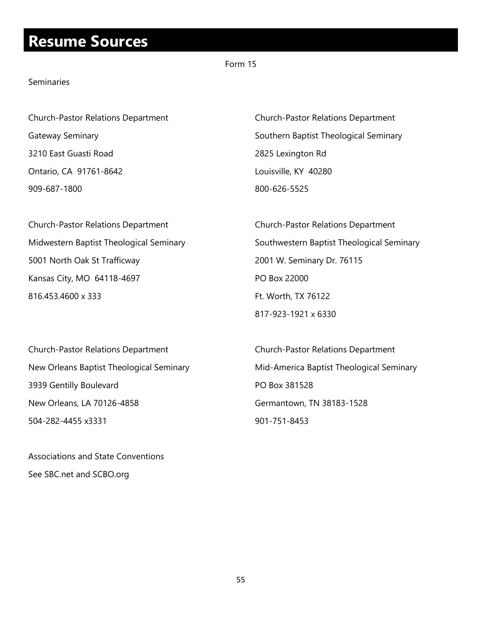### **Resume Sources**

### Form 15

#### Seminaries

3210 East Guasti Road 2825 Lexington Rd Ontario, CA 91761-8642 Louisville, KY 40280 909-687-1800 800-626-5525

Church-Pastor Relations Department Church-Pastor Relations Department 5001 North Oak St Trafficway 2001 W. Seminary Dr. 76115 Kansas City, MO 64118-4697 PO Box 22000 816.453.4600 x 333 Ft. Worth, TX 76122

Church-Pastor Relations Department Church-Pastor Relations Department Gateway Seminary **Supersets** Southern Baptist Theological Seminary

Midwestern Baptist Theological Seminary **Southwestern Baptist Theological Seminary** 817-923-1921 x 6330

Church-Pastor Relations Department Church-Pastor Relations Department 3939 Gentilly Boulevard **PO Box 381528** New Orleans, LA 70126-4858 Germantown, TN 38183-1528 504-282-4455 x3331 901-751-8453

Associations and State Conventions See SBC.net and SCBO.org

New Orleans Baptist Theological Seminary Mid-America Baptist Theological Seminary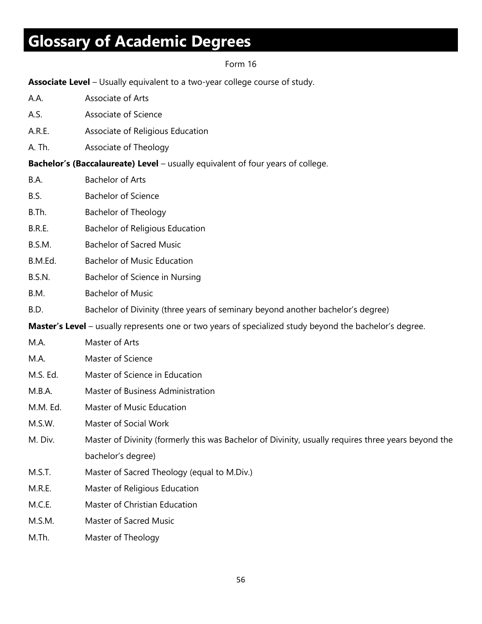# **Glossary of Academic Degrees**

### Form 16

**Associate Level** – Usually equivalent to a two-year college course of study.

| A.A.          | Associate of Arts                                                                                       |
|---------------|---------------------------------------------------------------------------------------------------------|
| A.S.          | Associate of Science                                                                                    |
| A.R.E.        | Associate of Religious Education                                                                        |
| A. Th.        | Associate of Theology                                                                                   |
|               | <b>Bachelor's (Baccalaureate) Level</b> – usually equivalent of four years of college.                  |
| B.A.          | <b>Bachelor of Arts</b>                                                                                 |
| B.S.          | <b>Bachelor of Science</b>                                                                              |
| B.Th.         | <b>Bachelor of Theology</b>                                                                             |
| B.R.E.        | <b>Bachelor of Religious Education</b>                                                                  |
| B.S.M.        | <b>Bachelor of Sacred Music</b>                                                                         |
| B.M.Ed.       | <b>Bachelor of Music Education</b>                                                                      |
| <b>B.S.N.</b> | Bachelor of Science in Nursing                                                                          |
| B.M.          | <b>Bachelor of Music</b>                                                                                |
| B.D.          | Bachelor of Divinity (three years of seminary beyond another bachelor's degree)                         |
|               | Master's Level - usually represents one or two years of specialized study beyond the bachelor's degree. |
| M.A.          | Master of Arts                                                                                          |
| M.A.          | Master of Science                                                                                       |
| M.S. Ed.      | Master of Science in Education                                                                          |
| M.B.A.        | Master of Business Administration                                                                       |
| M.M. Ed.      | Master of Music Education                                                                               |
| M.S.W.        | Master of Social Work                                                                                   |
| M. Div.       | Master of Divinity (formerly this was Bachelor of Divinity, usually requires three years beyond the     |
|               | bachelor's degree)                                                                                      |
| M.S.T.        | Master of Sacred Theology (equal to M.Div.)                                                             |
| M.R.E.        | Master of Religious Education                                                                           |
| M.C.E.        | Master of Christian Education                                                                           |
| M.S.M.        | Master of Sacred Music                                                                                  |
| M.Th.         | Master of Theology                                                                                      |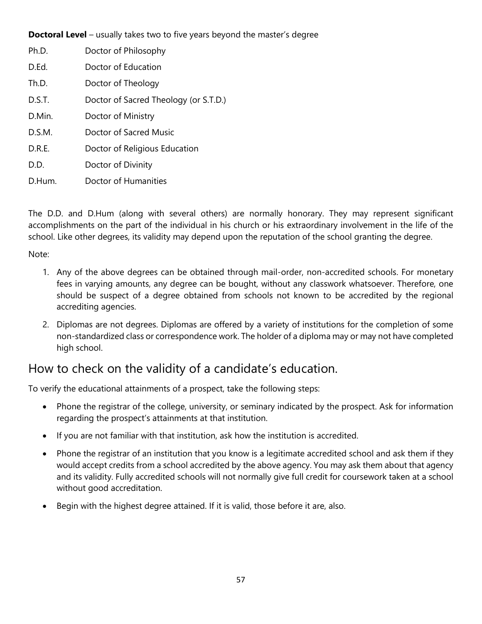**Doctoral Level** – usually takes two to five years beyond the master's degree

| Ph.D.  | Doctor of Philosophy                  |
|--------|---------------------------------------|
| D.Ed.  | Doctor of Education                   |
| Th.D.  | Doctor of Theology                    |
| D.S.T. | Doctor of Sacred Theology (or S.T.D.) |
| D.Min. | Doctor of Ministry                    |
| D.S.M. | Doctor of Sacred Music                |
| D.R.E. | Doctor of Religious Education         |
| D.D.   | Doctor of Divinity                    |
| D.Hum. | Doctor of Humanities                  |

The D.D. and D.Hum (along with several others) are normally honorary. They may represent significant accomplishments on the part of the individual in his church or his extraordinary involvement in the life of the school. Like other degrees, its validity may depend upon the reputation of the school granting the degree.

Note:

- 1. Any of the above degrees can be obtained through mail-order, non-accredited schools. For monetary fees in varying amounts, any degree can be bought, without any classwork whatsoever. Therefore, one should be suspect of a degree obtained from schools not known to be accredited by the regional accrediting agencies.
- 2. Diplomas are not degrees. Diplomas are offered by a variety of institutions for the completion of some non-standardized class or correspondence work. The holder of a diploma may or may not have completed high school.

### How to check on the validity of a candidate's education.

To verify the educational attainments of a prospect, take the following steps:

- Phone the registrar of the college, university, or seminary indicated by the prospect. Ask for information regarding the prospect's attainments at that institution.
- If you are not familiar with that institution, ask how the institution is accredited.
- Phone the registrar of an institution that you know is a legitimate accredited school and ask them if they would accept credits from a school accredited by the above agency. You may ask them about that agency and its validity. Fully accredited schools will not normally give full credit for coursework taken at a school without good accreditation.
- Begin with the highest degree attained. If it is valid, those before it are, also.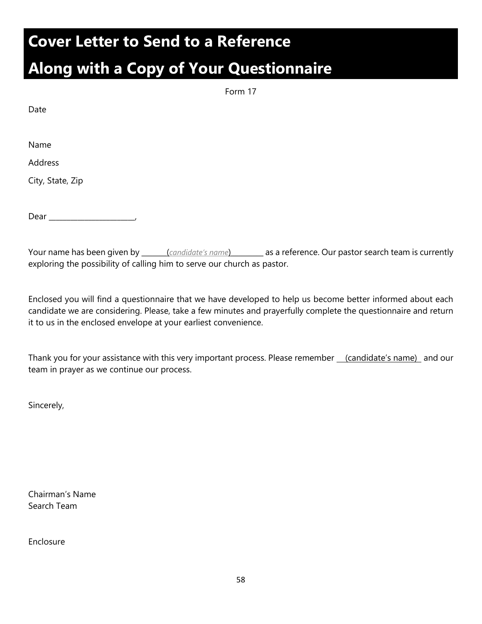## **Cover Letter to Send to a Reference**

# **Along with a Copy of Your Questionnaire**

Name

Address

City, State, Zip

Dear \_\_\_\_\_\_\_\_\_\_\_\_\_\_\_\_\_\_\_\_\_\_\_\_,

Your name has been given by \_\_\_\_\_\_\_(*candidate's name*)\_\_\_\_\_\_\_\_\_ as a reference. Our pastor search team is currently exploring the possibility of calling him to serve our church as pastor.

Enclosed you will find a questionnaire that we have developed to help us become better informed about each candidate we are considering. Please, take a few minutes and prayerfully complete the questionnaire and return it to us in the enclosed envelope at your earliest convenience.

Thank you for your assistance with this very important process. Please remember (candidate's name) and our team in prayer as we continue our process.

Sincerely,

Chairman's Name Search Team

Enclosure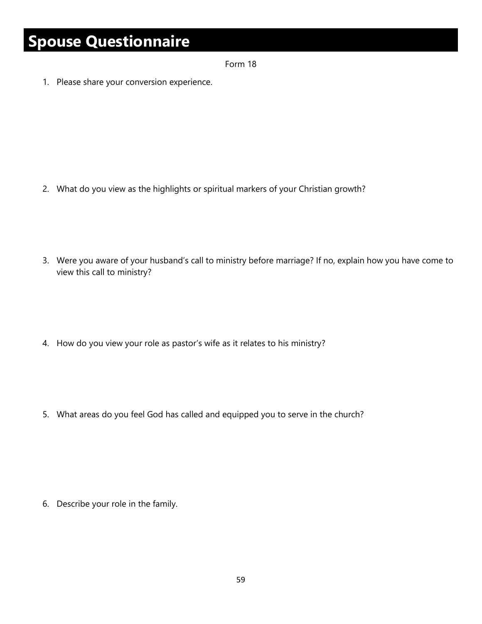# **Spouse Questionnaire**

Form 18

1. Please share your conversion experience.

- 2. What do you view as the highlights or spiritual markers of your Christian growth?
- 3. Were you aware of your husband's call to ministry before marriage? If no, explain how you have come to view this call to ministry?
- 4. How do you view your role as pastor's wife as it relates to his ministry?
- 5. What areas do you feel God has called and equipped you to serve in the church?

6. Describe your role in the family.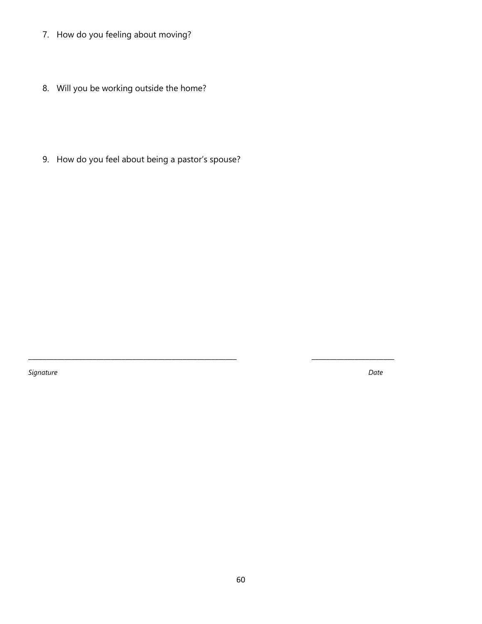- 7. How do you feeling about moving?
- 8. Will you be working outside the home?
- 9. How do you feel about being a pastor's spouse?

\_\_\_\_\_\_\_\_\_\_\_\_\_\_\_\_\_\_\_\_\_\_\_\_\_\_\_\_\_\_\_\_\_\_\_\_\_\_\_\_\_\_\_\_\_\_\_\_\_\_\_\_\_\_\_\_\_\_ \_\_\_\_\_\_\_\_\_\_\_\_\_\_\_\_\_\_\_\_\_\_\_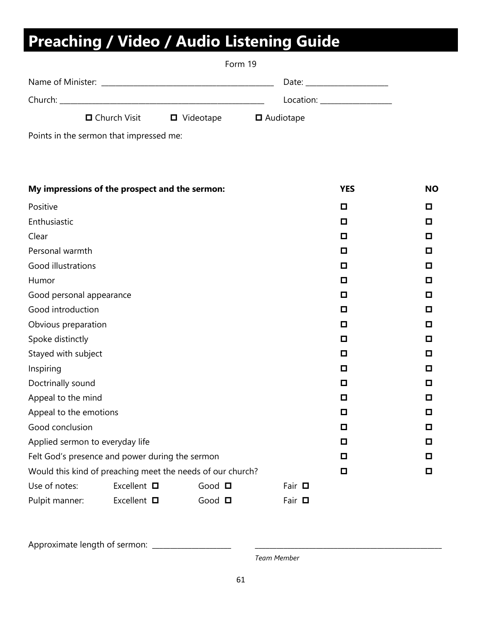# **Preaching / Video / Audio Listening Guide**

|  |                | Form 19                  |                                                                                                                                                                                                                                |  |  |  |
|--|----------------|--------------------------|--------------------------------------------------------------------------------------------------------------------------------------------------------------------------------------------------------------------------------|--|--|--|
|  |                |                          | Date: the contract of the contract of the contract of the contract of the contract of the contract of the contract of the contract of the contract of the contract of the contract of the contract of the contract of the cont |  |  |  |
|  |                |                          | Location: __________________                                                                                                                                                                                                   |  |  |  |
|  | □ Church Visit | $\blacksquare$ Videotape | $\blacksquare$ Audiotape                                                                                                                                                                                                       |  |  |  |

Points in the sermon that impressed me:

| My impressions of the prospect and the sermon:             |                     |             |             | <b>YES</b> | <b>NO</b> |
|------------------------------------------------------------|---------------------|-------------|-------------|------------|-----------|
| Positive                                                   |                     |             |             | О          | o         |
| Enthusiastic                                               |                     |             |             | $\Box$     | o         |
| Clear                                                      |                     |             |             | О          | o         |
| Personal warmth                                            |                     |             | О           | о          |           |
| <b>Good illustrations</b>                                  |                     | О           | о           |            |           |
| Humor                                                      |                     | О           | o           |            |           |
| Good personal appearance                                   | О                   | о           |             |            |           |
| Good introduction                                          |                     |             |             | О          | о         |
| Obvious preparation                                        |                     |             |             | О          | o         |
| Spoke distinctly                                           |                     |             |             | О          | o         |
| Stayed with subject                                        |                     |             |             | О          | о         |
| Inspiring                                                  |                     | О           | O           |            |           |
| Doctrinally sound                                          |                     | о           | o           |            |           |
| Appeal to the mind                                         |                     | О           | О           |            |           |
| Appeal to the emotions                                     | О                   | o           |             |            |           |
| Good conclusion                                            | О                   | o           |             |            |           |
| Applied sermon to everyday life                            |                     |             |             | о          | о         |
| Felt God's presence and power during the sermon            |                     |             | о           | о          |           |
| Would this kind of preaching meet the needs of our church? |                     |             |             | $\Box$     | О         |
| Use of notes:                                              | Excellent $\square$ | Good $\Box$ | Fair $\Box$ |            |           |
| Pulpit manner:                                             | Excellent $\square$ | Good $\Box$ | Fair $\Box$ |            |           |

Approximate length of sermon: \_\_\_\_\_\_\_\_\_\_\_\_\_\_\_\_\_\_\_\_\_\_ \_\_\_\_\_\_\_\_\_\_\_\_\_\_\_\_\_\_\_\_\_\_\_\_\_\_\_\_\_\_\_\_\_\_\_\_\_\_\_\_\_\_\_\_\_\_\_\_\_\_\_\_

*Team Member*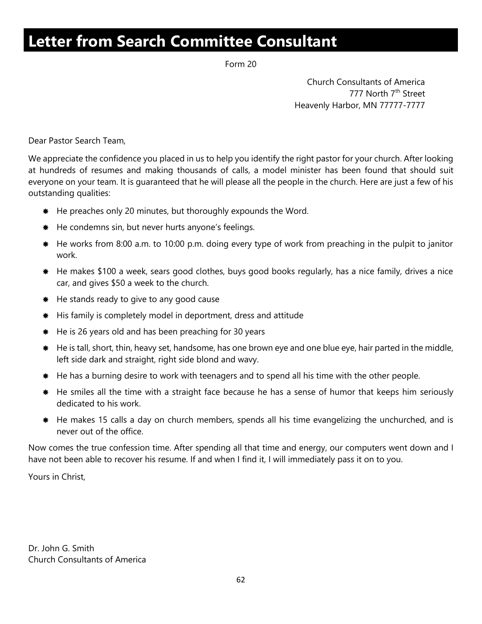# **Letter from Search Committee Consultant**

Form 20

Church Consultants of America 777 North 7<sup>th</sup> Street Heavenly Harbor, MN 77777-7777

Dear Pastor Search Team,

We appreciate the confidence you placed in us to help you identify the right pastor for your church. After looking at hundreds of resumes and making thousands of calls, a model minister has been found that should suit everyone on your team. It is guaranteed that he will please all the people in the church. Here are just a few of his outstanding qualities:

- \* He preaches only 20 minutes, but thoroughly expounds the Word.
- He condemns sin, but never hurts anyone's feelings.
- \* He works from 8:00 a.m. to 10:00 p.m. doing every type of work from preaching in the pulpit to janitor work.
- \* He makes \$100 a week, sears good clothes, buys good books regularly, has a nice family, drives a nice car, and gives \$50 a week to the church.
- \* He stands ready to give to any good cause
- His family is completely model in deportment, dress and attitude
- $#$  He is 26 years old and has been preaching for 30 years
- He is tall, short, thin, heavy set, handsome, has one brown eye and one blue eye, hair parted in the middle, left side dark and straight, right side blond and wavy.
- He has a burning desire to work with teenagers and to spend all his time with the other people.
- \* He smiles all the time with a straight face because he has a sense of humor that keeps him seriously dedicated to his work.
- \* He makes 15 calls a day on church members, spends all his time evangelizing the unchurched, and is never out of the office.

Now comes the true confession time. After spending all that time and energy, our computers went down and I have not been able to recover his resume. If and when I find it, I will immediately pass it on to you.

Yours in Christ,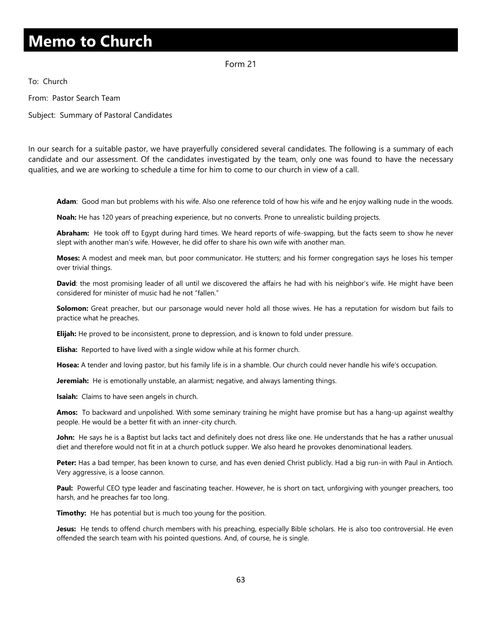# **Memo to Church**

Form 21

To: Church

From: Pastor Search Team

Subject: Summary of Pastoral Candidates

In our search for a suitable pastor, we have prayerfully considered several candidates. The following is a summary of each candidate and our assessment. Of the candidates investigated by the team, only one was found to have the necessary qualities, and we are working to schedule a time for him to come to our church in view of a call.

**Adam**: Good man but problems with his wife. Also one reference told of how his wife and he enjoy walking nude in the woods.

**Noah:** He has 120 years of preaching experience, but no converts. Prone to unrealistic building projects.

**Abraham:** He took off to Egypt during hard times. We heard reports of wife-swapping, but the facts seem to show he never slept with another man's wife. However, he did offer to share his own wife with another man.

**Moses:** A modest and meek man, but poor communicator. He stutters; and his former congregation says he loses his temper over trivial things.

**David**: the most promising leader of all until we discovered the affairs he had with his neighbor's wife. He might have been considered for minister of music had he not "fallen."

**Solomon:** Great preacher, but our parsonage would never hold all those wives. He has a reputation for wisdom but fails to practice what he preaches.

**Elijah:** He proved to be inconsistent, prone to depression, and is known to fold under pressure.

**Elisha:** Reported to have lived with a single widow while at his former church.

**Hosea:** A tender and loving pastor, but his family life is in a shamble. Our church could never handle his wife's occupation.

**Jeremiah:** He is emotionally unstable, an alarmist; negative, and always lamenting things.

**Isaiah:** Claims to have seen angels in church.

**Amos:** To backward and unpolished. With some seminary training he might have promise but has a hang-up against wealthy people. He would be a better fit with an inner-city church.

**John:** He says he is a Baptist but lacks tact and definitely does not dress like one. He understands that he has a rather unusual diet and therefore would not fit in at a church potluck supper. We also heard he provokes denominational leaders.

**Peter:** Has a bad temper, has been known to curse, and has even denied Christ publicly. Had a big run-in with Paul in Antioch. Very aggressive, is a loose cannon.

**Paul:** Powerful CEO type leader and fascinating teacher. However, he is short on tact, unforgiving with younger preachers, too harsh, and he preaches far too long.

**Timothy:** He has potential but is much too young for the position.

**Jesus:** He tends to offend church members with his preaching, especially Bible scholars. He is also too controversial. He even offended the search team with his pointed questions. And, of course, he is single.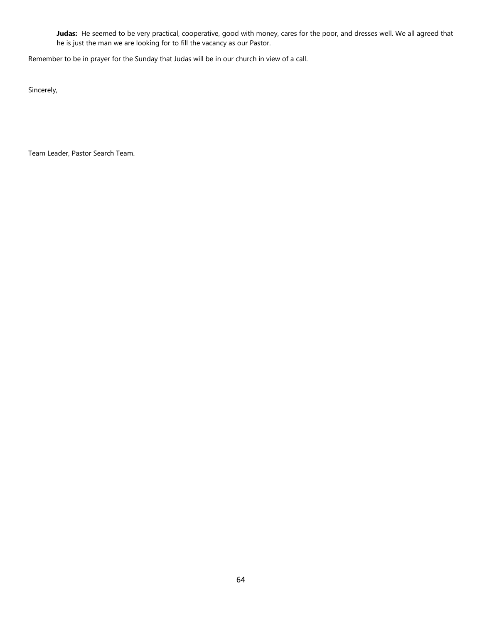**Judas:** He seemed to be very practical, cooperative, good with money, cares for the poor, and dresses well. We all agreed that he is just the man we are looking for to fill the vacancy as our Pastor.

Remember to be in prayer for the Sunday that Judas will be in our church in view of a call.

Sincerely,

Team Leader, Pastor Search Team.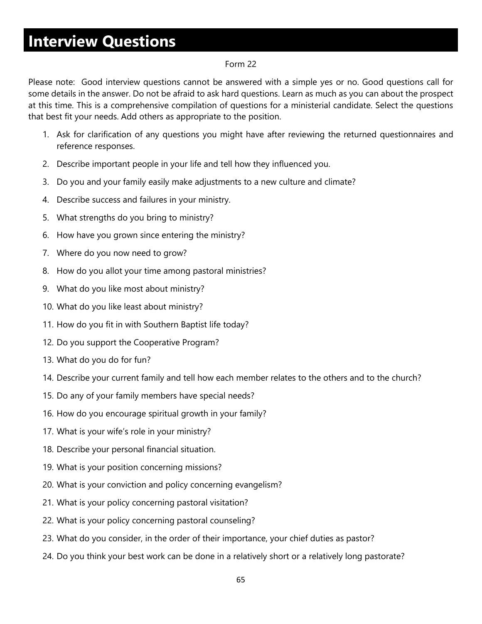# **Interview Questions**

#### Form 22

Please note: Good interview questions cannot be answered with a simple yes or no. Good questions call for some details in the answer. Do not be afraid to ask hard questions. Learn as much as you can about the prospect at this time. This is a comprehensive compilation of questions for a ministerial candidate. Select the questions that best fit your needs. Add others as appropriate to the position.

- 1. Ask for clarification of any questions you might have after reviewing the returned questionnaires and reference responses.
- 2. Describe important people in your life and tell how they influenced you.
- 3. Do you and your family easily make adjustments to a new culture and climate?
- 4. Describe success and failures in your ministry.
- 5. What strengths do you bring to ministry?
- 6. How have you grown since entering the ministry?
- 7. Where do you now need to grow?
- 8. How do you allot your time among pastoral ministries?
- 9. What do you like most about ministry?
- 10. What do you like least about ministry?
- 11. How do you fit in with Southern Baptist life today?
- 12. Do you support the Cooperative Program?
- 13. What do you do for fun?
- 14. Describe your current family and tell how each member relates to the others and to the church?
- 15. Do any of your family members have special needs?
- 16. How do you encourage spiritual growth in your family?
- 17. What is your wife's role in your ministry?
- 18. Describe your personal financial situation.
- 19. What is your position concerning missions?
- 20. What is your conviction and policy concerning evangelism?
- 21. What is your policy concerning pastoral visitation?
- 22. What is your policy concerning pastoral counseling?
- 23. What do you consider, in the order of their importance, your chief duties as pastor?
- 24. Do you think your best work can be done in a relatively short or a relatively long pastorate?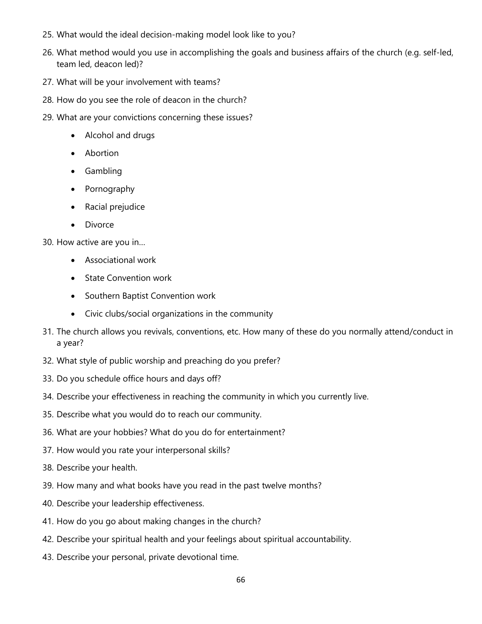- 25. What would the ideal decision-making model look like to you?
- 26. What method would you use in accomplishing the goals and business affairs of the church (e.g. self-led, team led, deacon led)?
- 27. What will be your involvement with teams?
- 28. How do you see the role of deacon in the church?
- 29. What are your convictions concerning these issues?
	- Alcohol and drugs
	- Abortion
	- Gambling
	- Pornography
	- Racial prejudice
	- Divorce

30. How active are you in…

- Associational work
- State Convention work
- Southern Baptist Convention work
- Civic clubs/social organizations in the community
- 31. The church allows you revivals, conventions, etc. How many of these do you normally attend/conduct in a year?
- 32. What style of public worship and preaching do you prefer?
- 33. Do you schedule office hours and days off?
- 34. Describe your effectiveness in reaching the community in which you currently live.
- 35. Describe what you would do to reach our community.
- 36. What are your hobbies? What do you do for entertainment?
- 37. How would you rate your interpersonal skills?
- 38. Describe your health.
- 39. How many and what books have you read in the past twelve months?
- 40. Describe your leadership effectiveness.
- 41. How do you go about making changes in the church?
- 42. Describe your spiritual health and your feelings about spiritual accountability.
- 43. Describe your personal, private devotional time.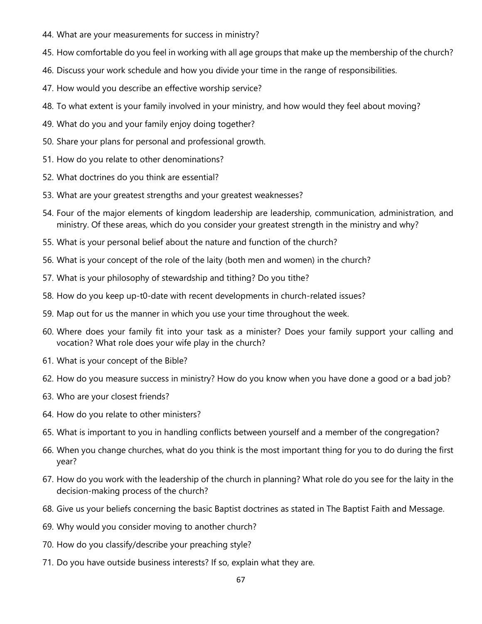- 44. What are your measurements for success in ministry?
- 45. How comfortable do you feel in working with all age groups that make up the membership of the church?
- 46. Discuss your work schedule and how you divide your time in the range of responsibilities.
- 47. How would you describe an effective worship service?
- 48. To what extent is your family involved in your ministry, and how would they feel about moving?
- 49. What do you and your family enjoy doing together?
- 50. Share your plans for personal and professional growth.
- 51. How do you relate to other denominations?
- 52. What doctrines do you think are essential?
- 53. What are your greatest strengths and your greatest weaknesses?
- 54. Four of the major elements of kingdom leadership are leadership, communication, administration, and ministry. Of these areas, which do you consider your greatest strength in the ministry and why?
- 55. What is your personal belief about the nature and function of the church?
- 56. What is your concept of the role of the laity (both men and women) in the church?
- 57. What is your philosophy of stewardship and tithing? Do you tithe?
- 58. How do you keep up-t0-date with recent developments in church-related issues?
- 59. Map out for us the manner in which you use your time throughout the week.
- 60. Where does your family fit into your task as a minister? Does your family support your calling and vocation? What role does your wife play in the church?
- 61. What is your concept of the Bible?
- 62. How do you measure success in ministry? How do you know when you have done a good or a bad job?
- 63. Who are your closest friends?
- 64. How do you relate to other ministers?
- 65. What is important to you in handling conflicts between yourself and a member of the congregation?
- 66. When you change churches, what do you think is the most important thing for you to do during the first year?
- 67. How do you work with the leadership of the church in planning? What role do you see for the laity in the decision-making process of the church?
- 68. Give us your beliefs concerning the basic Baptist doctrines as stated in The Baptist Faith and Message.
- 69. Why would you consider moving to another church?
- 70. How do you classify/describe your preaching style?
- 71. Do you have outside business interests? If so, explain what they are.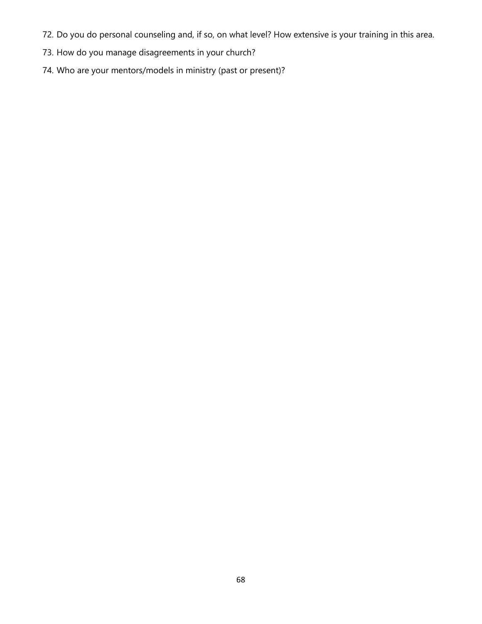- 72. Do you do personal counseling and, if so, on what level? How extensive is your training in this area.
- 73. How do you manage disagreements in your church?
- 74. Who are your mentors/models in ministry (past or present)?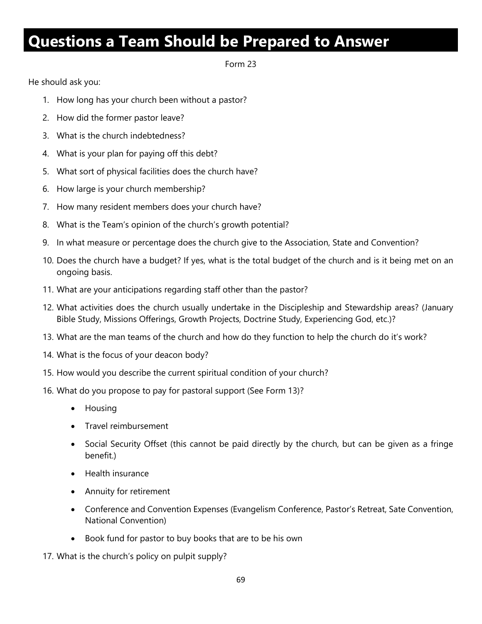## **Questions a Team Should be Prepared to Answer**

Form 23

He should ask you:

- 1. How long has your church been without a pastor?
- 2. How did the former pastor leave?
- 3. What is the church indebtedness?
- 4. What is your plan for paying off this debt?
- 5. What sort of physical facilities does the church have?
- 6. How large is your church membership?
- 7. How many resident members does your church have?
- 8. What is the Team's opinion of the church's growth potential?
- 9. In what measure or percentage does the church give to the Association, State and Convention?
- 10. Does the church have a budget? If yes, what is the total budget of the church and is it being met on an ongoing basis.
- 11. What are your anticipations regarding staff other than the pastor?
- 12. What activities does the church usually undertake in the Discipleship and Stewardship areas? (January Bible Study, Missions Offerings, Growth Projects, Doctrine Study, Experiencing God, etc.)?
- 13. What are the man teams of the church and how do they function to help the church do it's work?
- 14. What is the focus of your deacon body?
- 15. How would you describe the current spiritual condition of your church?
- 16. What do you propose to pay for pastoral support (See Form 13)?
	- Housing
	- Travel reimbursement
	- Social Security Offset (this cannot be paid directly by the church, but can be given as a fringe benefit.)
	- Health insurance
	- Annuity for retirement
	- Conference and Convention Expenses (Evangelism Conference, Pastor's Retreat, Sate Convention, National Convention)
	- Book fund for pastor to buy books that are to be his own
- 17. What is the church's policy on pulpit supply?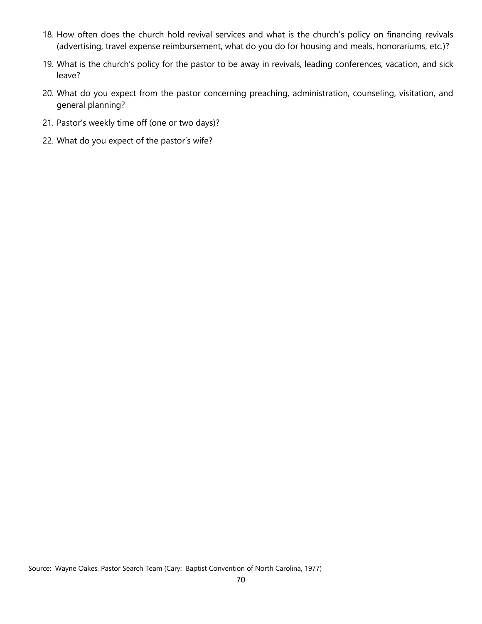- 18. How often does the church hold revival services and what is the church's policy on financing revivals (advertising, travel expense reimbursement, what do you do for housing and meals, honorariums, etc.)?
- 19. What is the church's policy for the pastor to be away in revivals, leading conferences, vacation, and sick leave?
- 20. What do you expect from the pastor concerning preaching, administration, counseling, visitation, and general planning?
- 21. Pastor's weekly time off (one or two days)?
- 22. What do you expect of the pastor's wife?

Source: Wayne Oakes, Pastor Search Team (Cary: Baptist Convention of North Carolina, 1977)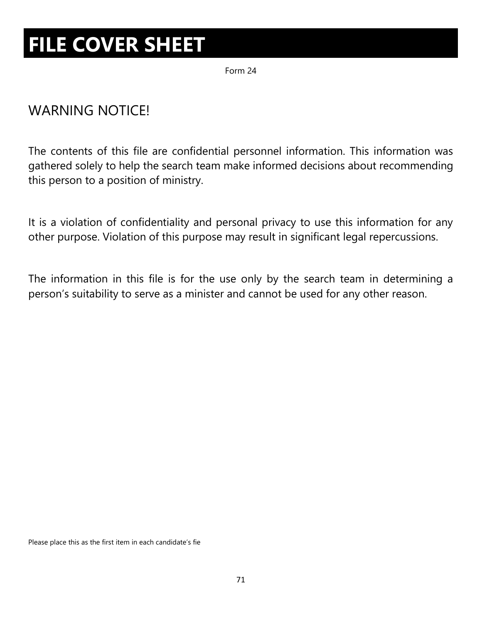# **FILE COVER SHEET**

Form 24

### WARNING NOTICE!

The contents of this file are confidential personnel information. This information was gathered solely to help the search team make informed decisions about recommending this person to a position of ministry.

It is a violation of confidentiality and personal privacy to use this information for any other purpose. Violation of this purpose may result in significant legal repercussions.

The information in this file is for the use only by the search team in determining a person's suitability to serve as a minister and cannot be used for any other reason.

Please place this as the first item in each candidate's fie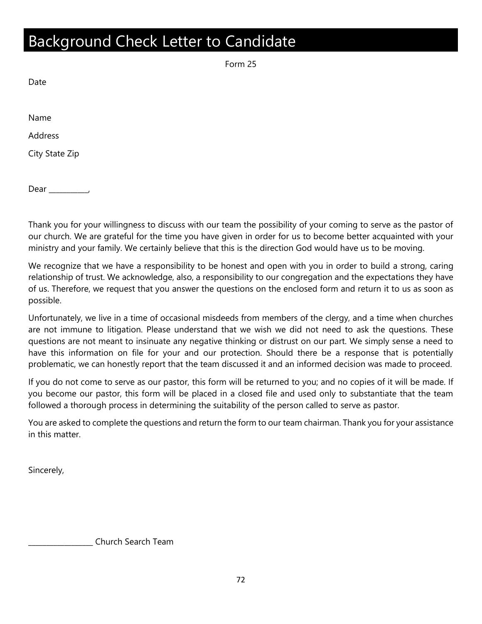### Background Check Letter to Candidate

Form 25

Date

Name

Address

City State Zip

Dear \_\_\_\_\_\_\_\_\_\_\_,

Thank you for your willingness to discuss with our team the possibility of your coming to serve as the pastor of our church. We are grateful for the time you have given in order for us to become better acquainted with your ministry and your family. We certainly believe that this is the direction God would have us to be moving.

We recognize that we have a responsibility to be honest and open with you in order to build a strong, caring relationship of trust. We acknowledge, also, a responsibility to our congregation and the expectations they have of us. Therefore, we request that you answer the questions on the enclosed form and return it to us as soon as possible.

Unfortunately, we live in a time of occasional misdeeds from members of the clergy, and a time when churches are not immune to litigation. Please understand that we wish we did not need to ask the questions. These questions are not meant to insinuate any negative thinking or distrust on our part. We simply sense a need to have this information on file for your and our protection. Should there be a response that is potentially problematic, we can honestly report that the team discussed it and an informed decision was made to proceed.

If you do not come to serve as our pastor, this form will be returned to you; and no copies of it will be made. If you become our pastor, this form will be placed in a closed file and used only to substantiate that the team followed a thorough process in determining the suitability of the person called to serve as pastor.

You are asked to complete the questions and return the form to our team chairman. Thank you for your assistance in this matter.

Sincerely,

\_\_\_\_\_\_\_\_\_\_\_\_\_\_\_\_\_\_ Church Search Team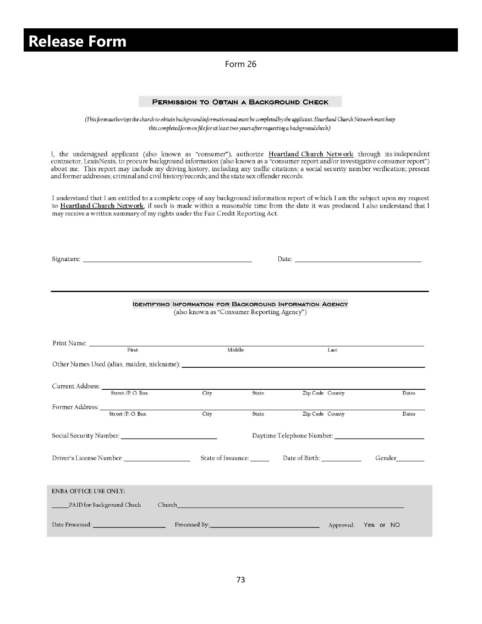### **Release Form**

Form 26

#### PERMISSION TO OBTAIN A BACKGROUND CHECK

(This form authorizes the church to obtain background information and must be completed by the applicant. Heartland Church Network must keep this completed form on file for at least two years after requesting a background check.)

I, the undersigned applicant (also known as "consumer"), authorize Heartland Church Network through its independent contractor, LexisNexis, to procure background information (also known as a "consumer report and/or investi about me. This report may include my driving history, including any traffic citations; a social security number verification; present and former addresses; criminal and civil history/records; and the state sex offender records.

I understand that I am entitled to a complete copy of any background information report of which I am the subject upon my request to Heartland Church Network, if such is made within a reasonable time from the date it was produced. I also understand that I may receive a written summary of my rights under the Fair Credit Reporting Act.

|                                          |                                         | <b>IDENTIFYING INFORMATION FOR BACKGROUND INFORMATION AGENCY</b><br>(also known as "Consumer Reporting Agency") |        |                                                         |  |        |       |
|------------------------------------------|-----------------------------------------|-----------------------------------------------------------------------------------------------------------------|--------|---------------------------------------------------------|--|--------|-------|
| First                                    |                                         |                                                                                                                 | Middle | Last                                                    |  |        |       |
|                                          | Former Address: <u>Street /P.O. Box</u> | City                                                                                                            | State  | Zip Code County                                         |  |        | Dates |
|                                          |                                         | City                                                                                                            | State  | Zip Code County                                         |  |        | Dates |
|                                          |                                         |                                                                                                                 |        | State of Issuance: ________ Date of Birth: ____________ |  | Gender |       |
| <b>ENBA OFFICE USE ONLY:</b>             |                                         |                                                                                                                 |        |                                                         |  |        |       |
| Processed By: <u>Approved:</u> Yes or NO |                                         |                                                                                                                 |        |                                                         |  |        |       |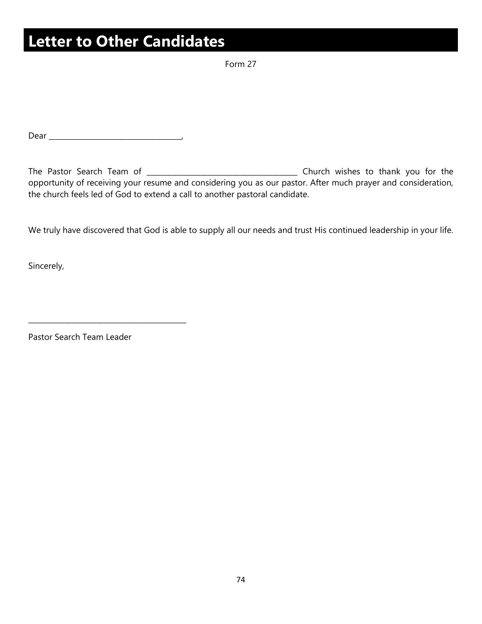### **Letter to Other Candidates**

Form 27

Dear \_\_\_\_\_\_\_\_\_\_\_\_\_\_\_\_\_\_\_\_\_\_\_\_\_\_\_\_\_\_\_\_\_\_\_\_\_,

The Pastor Search Team of \_\_\_\_\_\_\_\_\_\_\_\_\_\_\_\_\_\_\_\_\_\_\_\_\_\_\_\_\_\_\_\_\_\_\_\_\_\_\_\_\_\_ Church wishes to thank you for the opportunity of receiving your resume and considering you as our pastor. After much prayer and consideration, the church feels led of God to extend a call to another pastoral candidate.

We truly have discovered that God is able to supply all our needs and trust His continued leadership in your life.

Sincerely,

Pastor Search Team Leader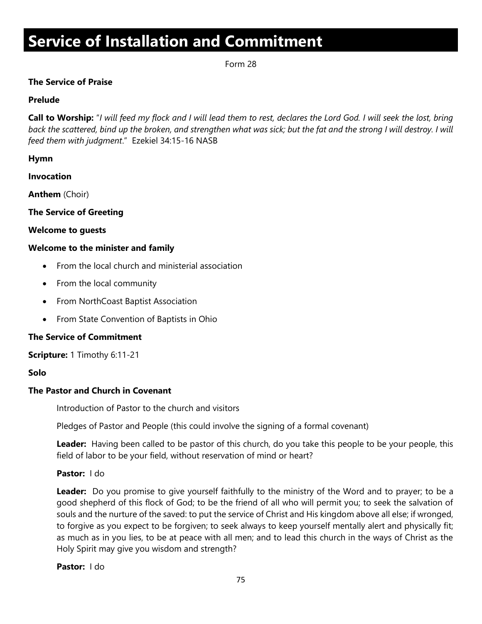## **Service of Installation and Commitment**

Form 28

#### **The Service of Praise**

#### **Prelude**

**Call to Worship:** "*I will feed my flock and I will lead them to rest, declares the Lord God. I will seek the lost, bring*  back the scattered, bind up the broken, and strengthen what was sick; but the fat and the strong I will destroy. I will *feed them with judgment*." Ezekiel 34:15-16 NASB

#### **Hymn**

**Invocation**

**Anthem** (Choir)

#### **The Service of Greeting**

#### **Welcome to guests**

#### **Welcome to the minister and family**

- From the local church and ministerial association
- From the local community
- From NorthCoast Baptist Association
- From State Convention of Baptists in Ohio

#### **The Service of Commitment**

**Scripture:** 1 Timothy 6:11-21

#### **Solo**

### **The Pastor and Church in Covenant**

Introduction of Pastor to the church and visitors

Pledges of Pastor and People (this could involve the signing of a formal covenant)

**Leader:** Having been called to be pastor of this church, do you take this people to be your people, this field of labor to be your field, without reservation of mind or heart?

#### **Pastor:** I do

**Leader:** Do you promise to give yourself faithfully to the ministry of the Word and to prayer; to be a good shepherd of this flock of God; to be the friend of all who will permit you; to seek the salvation of souls and the nurture of the saved: to put the service of Christ and His kingdom above all else; if wronged, to forgive as you expect to be forgiven; to seek always to keep yourself mentally alert and physically fit; as much as in you lies, to be at peace with all men; and to lead this church in the ways of Christ as the Holy Spirit may give you wisdom and strength?

#### **Pastor:** I do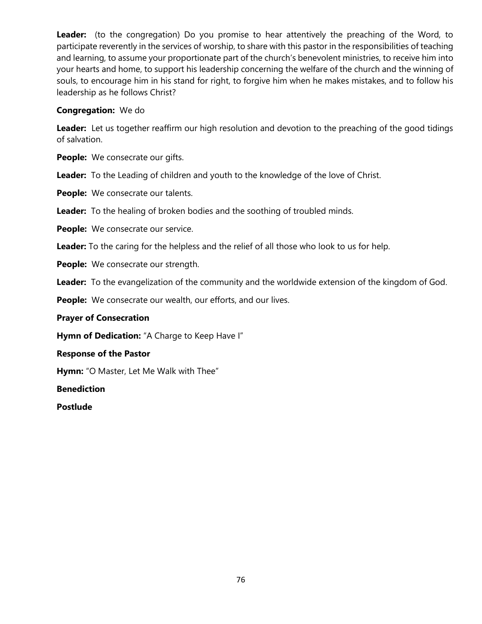**Leader:** (to the congregation) Do you promise to hear attentively the preaching of the Word, to participate reverently in the services of worship, to share with this pastor in the responsibilities of teaching and learning, to assume your proportionate part of the church's benevolent ministries, to receive him into your hearts and home, to support his leadership concerning the welfare of the church and the winning of souls, to encourage him in his stand for right, to forgive him when he makes mistakes, and to follow his leadership as he follows Christ?

#### **Congregation:** We do

**Leader:** Let us together reaffirm our high resolution and devotion to the preaching of the good tidings of salvation.

**People:** We consecrate our gifts.

**Leader:** To the Leading of children and youth to the knowledge of the love of Christ.

**People:** We consecrate our talents.

**Leader:** To the healing of broken bodies and the soothing of troubled minds.

**People:** We consecrate our service.

**Leader:** To the caring for the helpless and the relief of all those who look to us for help.

**People:** We consecrate our strength.

**Leader:** To the evangelization of the community and the worldwide extension of the kingdom of God.

People: We consecrate our wealth, our efforts, and our lives.

#### **Prayer of Consecration**

**Hymn of Dedication:** "A Charge to Keep Have I"

#### **Response of the Pastor**

**Hymn:** "O Master, Let Me Walk with Thee"

**Benediction**

**Postlude**